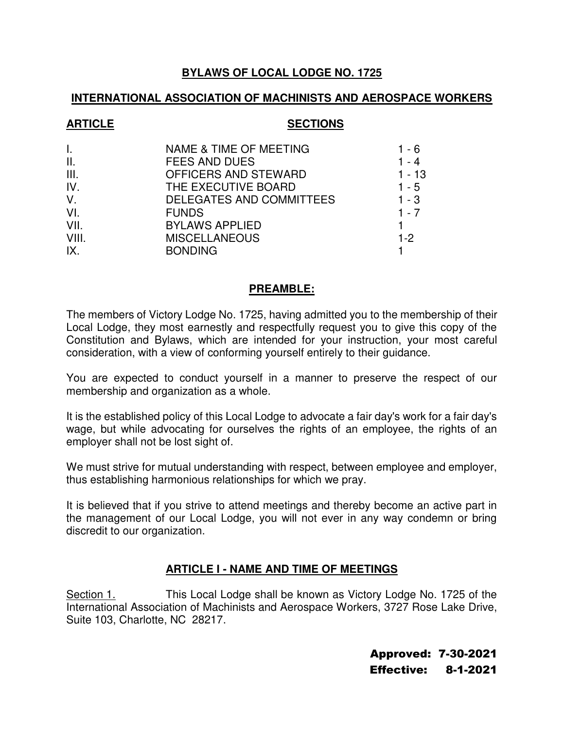## **BYLAWS OF LOCAL LODGE NO. 1725**

## **INTERNATIONAL ASSOCIATION OF MACHINISTS AND AEROSPACE WORKERS**

#### ARTICLE SECTIONS

| I.    | <b>NAME &amp; TIME OF MEETING</b> | 1 - 6    |
|-------|-----------------------------------|----------|
| II.   | <b>FEES AND DUES</b>              | $1 - 4$  |
| III.  | OFFICERS AND STEWARD              | $1 - 13$ |
| IV.   | THE EXECUTIVE BOARD               | $1 - 5$  |
| V.    | DELEGATES AND COMMITTEES          | $1 - 3$  |
| VI.   | <b>FUNDS</b>                      | $1 - 7$  |
| VII.  | <b>BYLAWS APPLIED</b>             |          |
| VIII. | <b>MISCELLANEOUS</b>              | $1-2$    |
| IX.   | <b>BONDING</b>                    |          |

## **PREAMBLE:**

The members of Victory Lodge No. 1725, having admitted you to the membership of their Local Lodge, they most earnestly and respectfully request you to give this copy of the Constitution and Bylaws, which are intended for your instruction, your most careful consideration, with a view of conforming yourself entirely to their guidance.

You are expected to conduct yourself in a manner to preserve the respect of our membership and organization as a whole.

It is the established policy of this Local Lodge to advocate a fair day's work for a fair day's wage, but while advocating for ourselves the rights of an employee, the rights of an employer shall not be lost sight of.

We must strive for mutual understanding with respect, between employee and employer, thus establishing harmonious relationships for which we pray.

It is believed that if you strive to attend meetings and thereby become an active part in the management of our Local Lodge, you will not ever in any way condemn or bring discredit to our organization.

# **ARTICLE I - NAME AND TIME OF MEETINGS**

Section 1. This Local Lodge shall be known as Victory Lodge No. 1725 of the International Association of Machinists and Aerospace Workers, 3727 Rose Lake Drive, Suite 103, Charlotte, NC 28217.

> Approved: 7-30-2021 Effective: 8-1-2021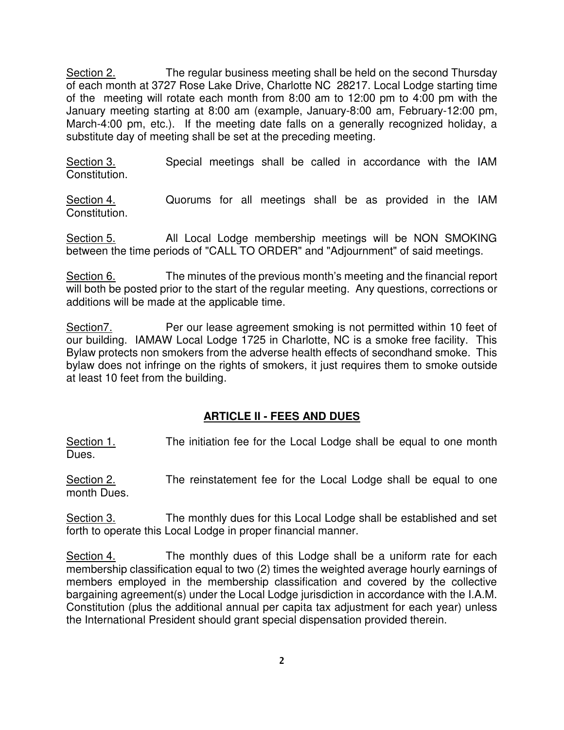Section 2. The regular business meeting shall be held on the second Thursday of each month at 3727 Rose Lake Drive, Charlotte NC 28217. Local Lodge starting time of the meeting will rotate each month from 8:00 am to 12:00 pm to 4:00 pm with the January meeting starting at 8:00 am (example, January-8:00 am, February-12:00 pm, March-4:00 pm, etc.). If the meeting date falls on a generally recognized holiday, a substitute day of meeting shall be set at the preceding meeting.

Section 3. Special meetings shall be called in accordance with the IAM Constitution.

Section 4. Cuorums for all meetings shall be as provided in the IAM Constitution.

Section 5. All Local Lodge membership meetings will be NON SMOKING between the time periods of "CALL TO ORDER" and "Adjournment" of said meetings.

Section 6. The minutes of the previous month's meeting and the financial report will both be posted prior to the start of the regular meeting. Any questions, corrections or additions will be made at the applicable time.

Section7. Per our lease agreement smoking is not permitted within 10 feet of our building. IAMAW Local Lodge 1725 in Charlotte, NC is a smoke free facility. This Bylaw protects non smokers from the adverse health effects of secondhand smoke. This bylaw does not infringe on the rights of smokers, it just requires them to smoke outside at least 10 feet from the building.

# **ARTICLE II - FEES AND DUES**

Section 1. The initiation fee for the Local Lodge shall be equal to one month Dues.

Section 2. The reinstatement fee for the Local Lodge shall be equal to one month Dues.

Section 3. The monthly dues for this Local Lodge shall be established and set forth to operate this Local Lodge in proper financial manner.

Section 4. The monthly dues of this Lodge shall be a uniform rate for each membership classification equal to two (2) times the weighted average hourly earnings of members employed in the membership classification and covered by the collective bargaining agreement(s) under the Local Lodge jurisdiction in accordance with the I.A.M. Constitution (plus the additional annual per capita tax adjustment for each year) unless the International President should grant special dispensation provided therein.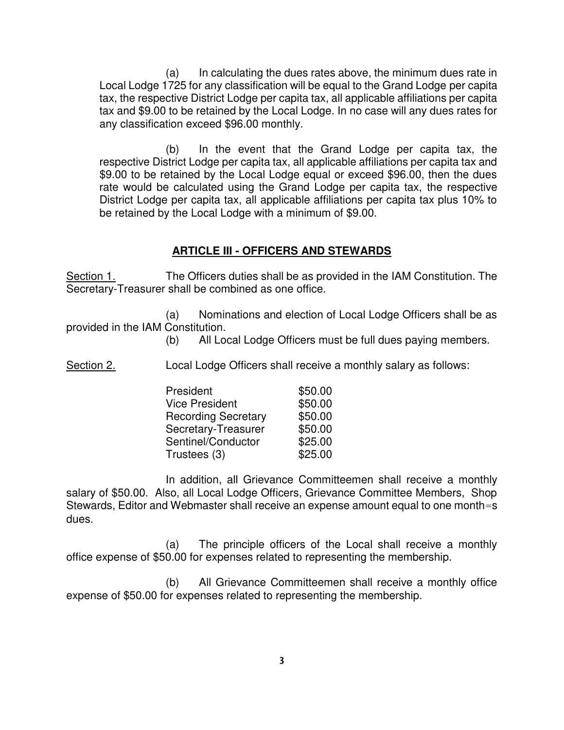(a) In calculating the dues rates above, the minimum dues rate in Local Lodge 1725 for any classification will be equal to the Grand Lodge per capita tax, the respective District Lodge per capita tax, all applicable affiliations per capita tax and \$9.00 to be retained by the Local Lodge. In no case will any dues rates for any classification exceed \$96.00 monthly.

(b) In the event that the Grand Lodge per capita tax, the respective District Lodge per capita tax, all applicable affiliations per capita tax and \$9.00 to be retained by the Local Lodge equal or exceed \$96.00, then the dues rate would be calculated using the Grand Lodge per capita tax, the respective District Lodge per capita tax, all applicable affiliations per capita tax plus 10% to be retained by the Local Lodge with a minimum of \$9.00.

#### **ARTICLE III - OFFICERS AND STEWARDS**

Section 1. The Officers duties shall be as provided in the IAM Constitution. The Secretary-Treasurer shall be combined as one office.

(a) Nominations and election of Local Lodge Officers shall be as provided in the IAM Constitution.

(b) All Local Lodge Officers must be full dues paying members.

Section 2. Local Lodge Officers shall receive a monthly salary as follows:

| President                  | \$50.00 |
|----------------------------|---------|
| <b>Vice President</b>      | \$50.00 |
| <b>Recording Secretary</b> | \$50.00 |
| Secretary-Treasurer        | \$50.00 |
| Sentinel/Conductor         | \$25.00 |
| Trustees (3)               | \$25.00 |

In addition, all Grievance Committeemen shall receive a monthly salary of \$50.00. Also, all Local Lodge Officers, Grievance Committee Members, Shop Stewards, Editor and Webmaster shall receive an expense amount equal to one month=s dues.

(a) The principle officers of the Local shall receive a monthly office expense of \$50.00 for expenses related to representing the membership.

(b) All Grievance Committeemen shall receive a monthly office expense of \$50.00 for expenses related to representing the membership.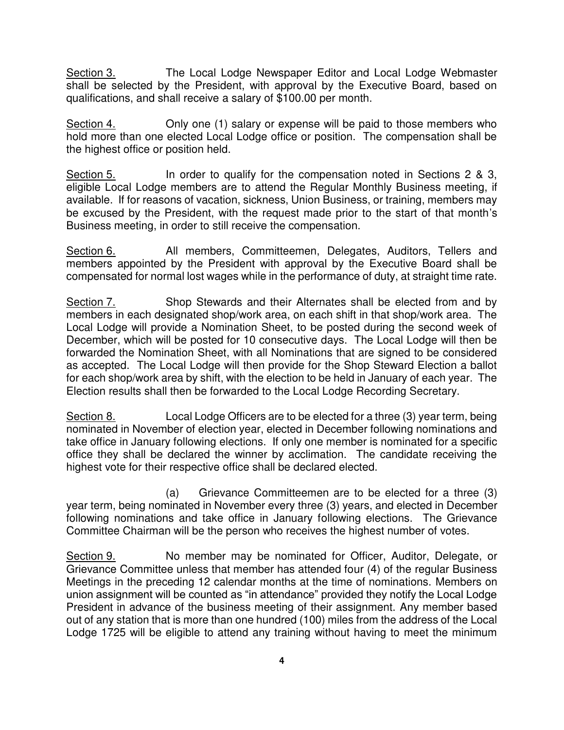Section 3. The Local Lodge Newspaper Editor and Local Lodge Webmaster shall be selected by the President, with approval by the Executive Board, based on qualifications, and shall receive a salary of \$100.00 per month.

Section 4. Only one (1) salary or expense will be paid to those members who hold more than one elected Local Lodge office or position. The compensation shall be the highest office or position held.

Section 5. In order to qualify for the compensation noted in Sections 2 & 3, eligible Local Lodge members are to attend the Regular Monthly Business meeting, if available. If for reasons of vacation, sickness, Union Business, or training, members may be excused by the President, with the request made prior to the start of that month's Business meeting, in order to still receive the compensation.

Section 6. **All members, Committeemen, Delegates, Auditors, Tellers and** members appointed by the President with approval by the Executive Board shall be compensated for normal lost wages while in the performance of duty, at straight time rate.

Section 7. Shop Stewards and their Alternates shall be elected from and by members in each designated shop/work area, on each shift in that shop/work area. The Local Lodge will provide a Nomination Sheet, to be posted during the second week of December, which will be posted for 10 consecutive days. The Local Lodge will then be forwarded the Nomination Sheet, with all Nominations that are signed to be considered as accepted. The Local Lodge will then provide for the Shop Steward Election a ballot for each shop/work area by shift, with the election to be held in January of each year. The Election results shall then be forwarded to the Local Lodge Recording Secretary.

Section 8. Local Lodge Officers are to be elected for a three (3) year term, being nominated in November of election year, elected in December following nominations and take office in January following elections. If only one member is nominated for a specific office they shall be declared the winner by acclimation. The candidate receiving the highest vote for their respective office shall be declared elected.

(a) Grievance Committeemen are to be elected for a three (3) year term, being nominated in November every three (3) years, and elected in December following nominations and take office in January following elections. The Grievance Committee Chairman will be the person who receives the highest number of votes.

Section 9. No member may be nominated for Officer, Auditor, Delegate, or Grievance Committee unless that member has attended four (4) of the regular Business Meetings in the preceding 12 calendar months at the time of nominations. Members on union assignment will be counted as "in attendance" provided they notify the Local Lodge President in advance of the business meeting of their assignment. Any member based out of any station that is more than one hundred (100) miles from the address of the Local Lodge 1725 will be eligible to attend any training without having to meet the minimum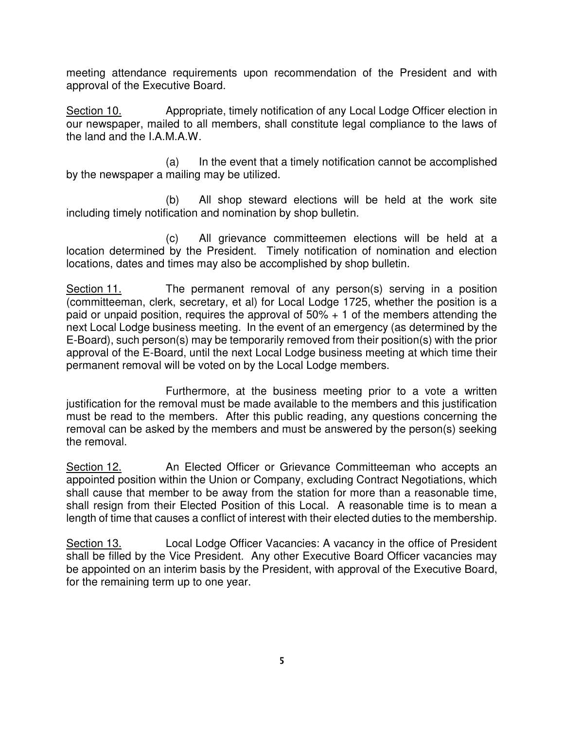meeting attendance requirements upon recommendation of the President and with approval of the Executive Board.

Section 10. Appropriate, timely notification of any Local Lodge Officer election in our newspaper, mailed to all members, shall constitute legal compliance to the laws of the land and the I.A.M.A.W.

 (a) In the event that a timely notification cannot be accomplished by the newspaper a mailing may be utilized.

 (b) All shop steward elections will be held at the work site including timely notification and nomination by shop bulletin.

 (c) All grievance committeemen elections will be held at a location determined by the President. Timely notification of nomination and election locations, dates and times may also be accomplished by shop bulletin.

Section 11. The permanent removal of any person(s) serving in a position (committeeman, clerk, secretary, et al) for Local Lodge 1725, whether the position is a paid or unpaid position, requires the approval of  $50\% + 1$  of the members attending the next Local Lodge business meeting. In the event of an emergency (as determined by the E-Board), such person(s) may be temporarily removed from their position(s) with the prior approval of the E-Board, until the next Local Lodge business meeting at which time their permanent removal will be voted on by the Local Lodge members.

Furthermore, at the business meeting prior to a vote a written justification for the removal must be made available to the members and this justification must be read to the members. After this public reading, any questions concerning the removal can be asked by the members and must be answered by the person(s) seeking the removal.

Section 12. An Elected Officer or Grievance Committeeman who accepts an appointed position within the Union or Company, excluding Contract Negotiations, which shall cause that member to be away from the station for more than a reasonable time, shall resign from their Elected Position of this Local. A reasonable time is to mean a length of time that causes a conflict of interest with their elected duties to the membership.

Section 13. Local Lodge Officer Vacancies: A vacancy in the office of President shall be filled by the Vice President. Any other Executive Board Officer vacancies may be appointed on an interim basis by the President, with approval of the Executive Board, for the remaining term up to one year.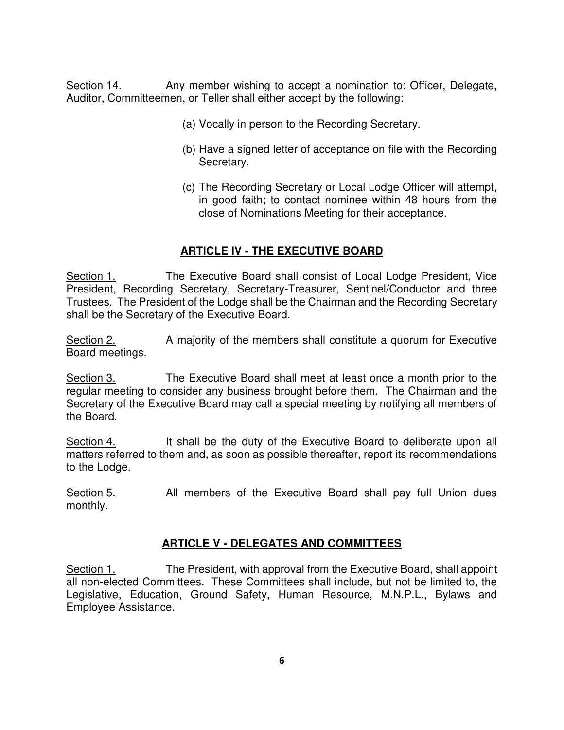Section 14. Any member wishing to accept a nomination to: Officer, Delegate, Auditor, Committeemen, or Teller shall either accept by the following:

- (a) Vocally in person to the Recording Secretary.
- (b) Have a signed letter of acceptance on file with the Recording Secretary.
- (c) The Recording Secretary or Local Lodge Officer will attempt, in good faith; to contact nominee within 48 hours from the close of Nominations Meeting for their acceptance.

#### **ARTICLE IV - THE EXECUTIVE BOARD**

Section 1. The Executive Board shall consist of Local Lodge President, Vice President, Recording Secretary, Secretary-Treasurer, Sentinel/Conductor and three Trustees. The President of the Lodge shall be the Chairman and the Recording Secretary shall be the Secretary of the Executive Board.

Section 2. A majority of the members shall constitute a quorum for Executive Board meetings.

Section 3. The Executive Board shall meet at least once a month prior to the regular meeting to consider any business brought before them. The Chairman and the Secretary of the Executive Board may call a special meeting by notifying all members of the Board.

Section 4. It shall be the duty of the Executive Board to deliberate upon all matters referred to them and, as soon as possible thereafter, report its recommendations to the Lodge.

Section 5. All members of the Executive Board shall pay full Union dues monthly.

#### **ARTICLE V - DELEGATES AND COMMITTEES**

Section 1. The President, with approval from the Executive Board, shall appoint all non-elected Committees. These Committees shall include, but not be limited to, the Legislative, Education, Ground Safety, Human Resource, M.N.P.L., Bylaws and Employee Assistance.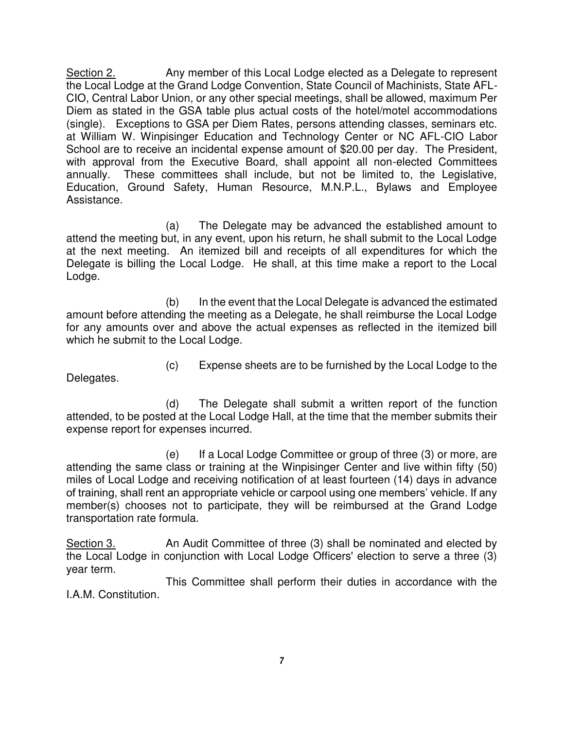Section 2. Any member of this Local Lodge elected as a Delegate to represent the Local Lodge at the Grand Lodge Convention, State Council of Machinists, State AFL-CIO, Central Labor Union, or any other special meetings, shall be allowed, maximum Per Diem as stated in the GSA table plus actual costs of the hotel/motel accommodations (single). Exceptions to GSA per Diem Rates, persons attending classes, seminars etc. at William W. Winpisinger Education and Technology Center or NC AFL-CIO Labor School are to receive an incidental expense amount of \$20.00 per day. The President, with approval from the Executive Board, shall appoint all non-elected Committees annually. These committees shall include, but not be limited to, the Legislative, Education, Ground Safety, Human Resource, M.N.P.L., Bylaws and Employee Assistance.

(a) The Delegate may be advanced the established amount to attend the meeting but, in any event, upon his return, he shall submit to the Local Lodge at the next meeting. An itemized bill and receipts of all expenditures for which the Delegate is billing the Local Lodge. He shall, at this time make a report to the Local Lodge.

(b) In the event that the Local Delegate is advanced the estimated amount before attending the meeting as a Delegate, he shall reimburse the Local Lodge for any amounts over and above the actual expenses as reflected in the itemized bill which he submit to the Local Lodge.

Delegates.

(c) Expense sheets are to be furnished by the Local Lodge to the

(d) The Delegate shall submit a written report of the function attended, to be posted at the Local Lodge Hall, at the time that the member submits their expense report for expenses incurred.

(e) If a Local Lodge Committee or group of three (3) or more, are attending the same class or training at the Winpisinger Center and live within fifty (50) miles of Local Lodge and receiving notification of at least fourteen (14) days in advance of training, shall rent an appropriate vehicle or carpool using one members' vehicle. If any member(s) chooses not to participate, they will be reimbursed at the Grand Lodge transportation rate formula.

Section 3. An Audit Committee of three (3) shall be nominated and elected by the Local Lodge in conjunction with Local Lodge Officers' election to serve a three (3) year term.

This Committee shall perform their duties in accordance with the I.A.M. Constitution.

**7**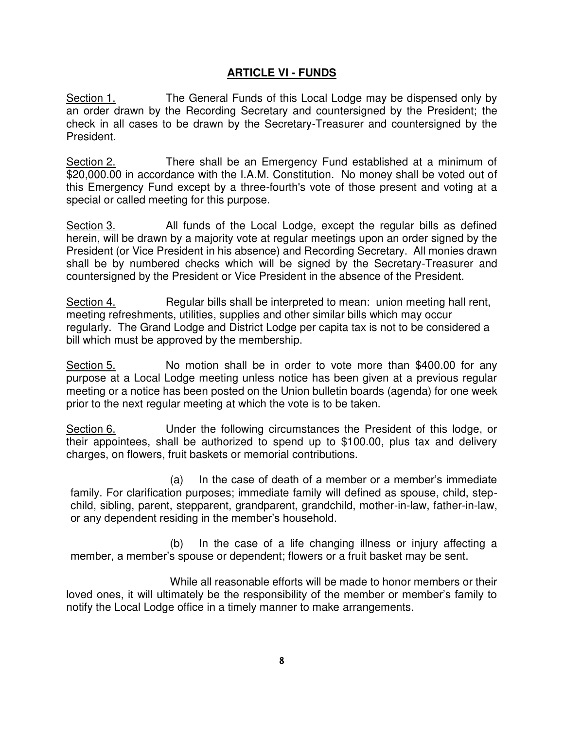#### **ARTICLE VI - FUNDS**

Section 1. The General Funds of this Local Lodge may be dispensed only by an order drawn by the Recording Secretary and countersigned by the President; the check in all cases to be drawn by the Secretary-Treasurer and countersigned by the President.

Section 2. There shall be an Emergency Fund established at a minimum of \$20,000.00 in accordance with the I.A.M. Constitution. No money shall be voted out of this Emergency Fund except by a three-fourth's vote of those present and voting at a special or called meeting for this purpose.

Section 3. All funds of the Local Lodge, except the regular bills as defined herein, will be drawn by a majority vote at regular meetings upon an order signed by the President (or Vice President in his absence) and Recording Secretary. All monies drawn shall be by numbered checks which will be signed by the Secretary-Treasurer and countersigned by the President or Vice President in the absence of the President.

Section 4. Regular bills shall be interpreted to mean: union meeting hall rent, meeting refreshments, utilities, supplies and other similar bills which may occur regularly. The Grand Lodge and District Lodge per capita tax is not to be considered a bill which must be approved by the membership.

Section 5. No motion shall be in order to vote more than \$400.00 for any purpose at a Local Lodge meeting unless notice has been given at a previous regular meeting or a notice has been posted on the Union bulletin boards (agenda) for one week prior to the next regular meeting at which the vote is to be taken.

Section 6. Under the following circumstances the President of this lodge, or their appointees, shall be authorized to spend up to \$100.00, plus tax and delivery charges, on flowers, fruit baskets or memorial contributions.

(a) In the case of death of a member or a member's immediate family. For clarification purposes; immediate family will defined as spouse, child, stepchild, sibling, parent, stepparent, grandparent, grandchild, mother-in-law, father-in-law, or any dependent residing in the member's household.

(b) In the case of a life changing illness or injury affecting a member, a member's spouse or dependent; flowers or a fruit basket may be sent.

While all reasonable efforts will be made to honor members or their loved ones, it will ultimately be the responsibility of the member or member's family to notify the Local Lodge office in a timely manner to make arrangements.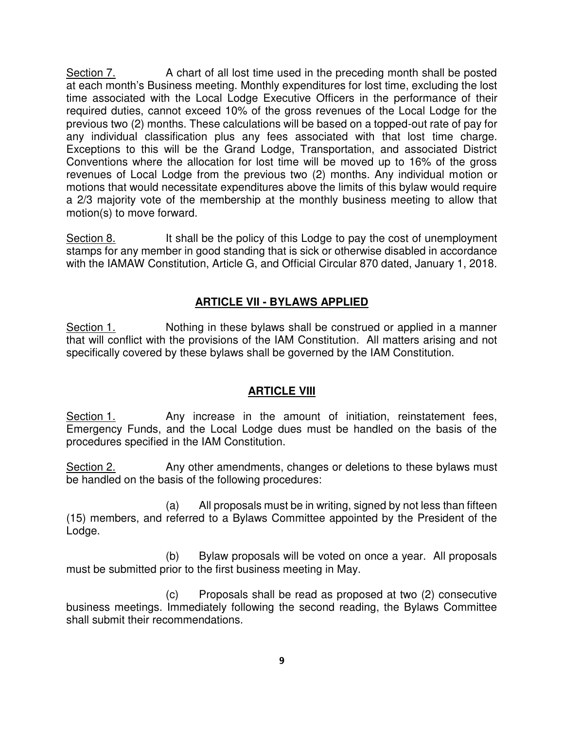Section 7. A chart of all lost time used in the preceding month shall be posted at each month's Business meeting. Monthly expenditures for lost time, excluding the lost time associated with the Local Lodge Executive Officers in the performance of their required duties, cannot exceed 10% of the gross revenues of the Local Lodge for the previous two (2) months. These calculations will be based on a topped-out rate of pay for any individual classification plus any fees associated with that lost time charge. Exceptions to this will be the Grand Lodge, Transportation, and associated District Conventions where the allocation for lost time will be moved up to 16% of the gross revenues of Local Lodge from the previous two (2) months. Any individual motion or motions that would necessitate expenditures above the limits of this bylaw would require a 2/3 majority vote of the membership at the monthly business meeting to allow that motion(s) to move forward.

Section 8. It shall be the policy of this Lodge to pay the cost of unemployment stamps for any member in good standing that is sick or otherwise disabled in accordance with the IAMAW Constitution, Article G, and Official Circular 870 dated, January 1, 2018.

## **ARTICLE VII - BYLAWS APPLIED**

Section 1. Nothing in these bylaws shall be construed or applied in a manner that will conflict with the provisions of the IAM Constitution. All matters arising and not specifically covered by these bylaws shall be governed by the IAM Constitution.

## **ARTICLE VIII**

Section 1. Any increase in the amount of initiation, reinstatement fees, Emergency Funds, and the Local Lodge dues must be handled on the basis of the procedures specified in the IAM Constitution.

Section 2. Any other amendments, changes or deletions to these bylaws must be handled on the basis of the following procedures:

(a) All proposals must be in writing, signed by not less than fifteen (15) members, and referred to a Bylaws Committee appointed by the President of the Lodge.

(b) Bylaw proposals will be voted on once a year. All proposals must be submitted prior to the first business meeting in May.

(c) Proposals shall be read as proposed at two (2) consecutive business meetings. Immediately following the second reading, the Bylaws Committee shall submit their recommendations.